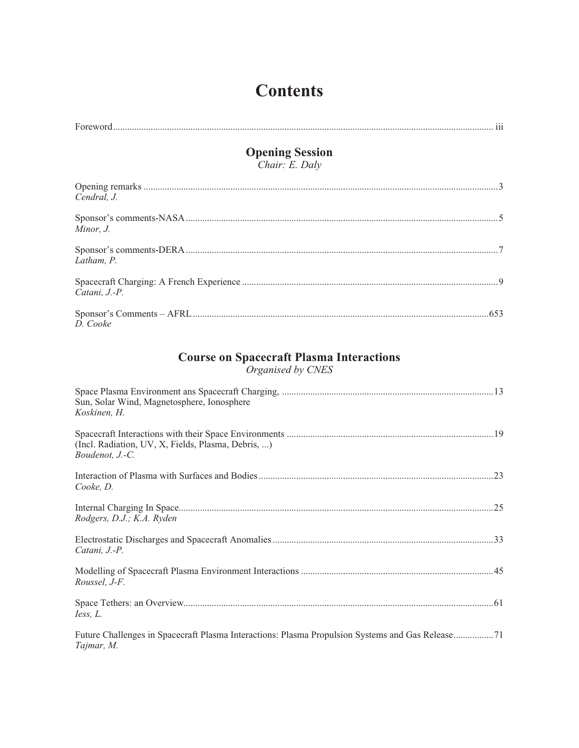# **Contents**

| <b>Opening Session</b><br>Chair: E. Daly                             |  |
|----------------------------------------------------------------------|--|
|                                                                      |  |
| Cendral, J.                                                          |  |
| Minor, J.                                                            |  |
| Latham, P.                                                           |  |
| Catani, J.-P.                                                        |  |
| D. Cooke                                                             |  |
| <b>Course on Spacecraft Plasma Interactions</b><br>Organised by CNES |  |
| Sun, Solar Wind, Magnetosphere, Ionosphere                           |  |

| Sun, Solar Wind, Magnetosphere, Ionosphere<br>Koskinen, H.                                                     |
|----------------------------------------------------------------------------------------------------------------|
| (Incl. Radiation, UV, X, Fields, Plasma, Debris, )<br>Boudenot, J.-C.                                          |
| Cooke, D.                                                                                                      |
| Rodgers, D.J.; K.A. Ryden                                                                                      |
| Catani, J.-P.                                                                                                  |
| Roussel, J-F.                                                                                                  |
| Iess, L.                                                                                                       |
| Future Challenges in Spacecraft Plasma Interactions: Plasma Propulsion Systems and Gas Release71<br>Tajmar, M. |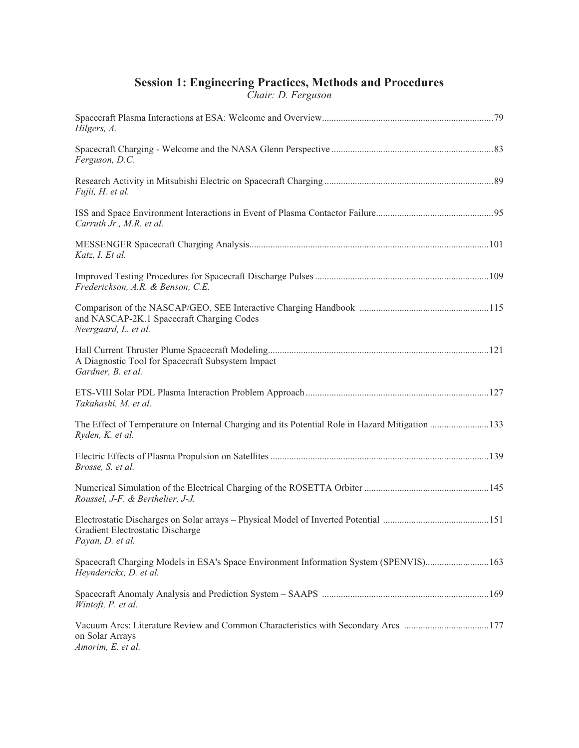## **Session 1: Engineering Practices, Methods and Procedures**

*Chair: D. Ferguson*

| Hilgers, A.                                                                                                               |  |
|---------------------------------------------------------------------------------------------------------------------------|--|
| Ferguson, D.C.                                                                                                            |  |
| Fujii, H. et al.                                                                                                          |  |
| Carruth Jr., M.R. et al.                                                                                                  |  |
| Katz, I. Et al.                                                                                                           |  |
| Frederickson, A.R. & Benson, C.E.                                                                                         |  |
| and NASCAP-2K.1 Spacecraft Charging Codes<br>Neergaard, L. et al.                                                         |  |
| A Diagnostic Tool for Spacecraft Subsystem Impact<br>Gardner, B. et al.                                                   |  |
| Takahashi, M. et al.                                                                                                      |  |
| The Effect of Temperature on Internal Charging and its Potential Role in Hazard Mitigation 133<br>Ryden, K. et al.        |  |
| Brosse, S. et al.                                                                                                         |  |
| Roussel, J-F. & Berthelier, J-J.                                                                                          |  |
| Gradient Electrostatic Discharge<br>Payan, D. et al.                                                                      |  |
| Spacecraft Charging Models in ESA's Space Environment Information System (SPENVIS)163<br>Heynderickx, D. et al.           |  |
| Wintoft, P. et al.                                                                                                        |  |
| Vacuum Arcs: Literature Review and Common Characteristics with Secondary Arcs 177<br>on Solar Arrays<br>Amorim, E. et al. |  |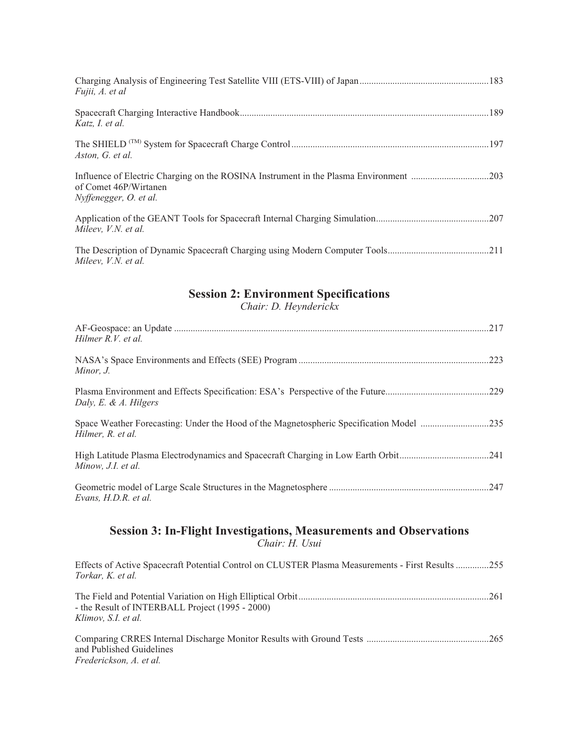| Fujii, A. et al                                                                                                                          |  |
|------------------------------------------------------------------------------------------------------------------------------------------|--|
| Katz, I. et al.                                                                                                                          |  |
| Aston, G. et al.                                                                                                                         |  |
| Influence of Electric Charging on the ROSINA Instrument in the Plasma Environment 203<br>of Comet 46P/Wirtanen<br>Nyffenegger, O. et al. |  |
| Mileev, V.N. et al.                                                                                                                      |  |
| Mileev, V.N. et al.                                                                                                                      |  |

## **Session 2: Environment Specifications**

*Chair: D. Heynderickx*

| Hilmer R.V. et al.                                                                                           |
|--------------------------------------------------------------------------------------------------------------|
| .223<br>Minor, J.                                                                                            |
| Daly, E. & A. Hilgers                                                                                        |
| Space Weather Forecasting: Under the Hood of the Magnetospheric Specification Model 235<br>Hilmer, R. et al. |
| Minow, J.I. et al.                                                                                           |
| Evans, H.D.R. et al.                                                                                         |

#### **Session 3: In-Flight Investigations, Measurements and Observations** *Chair: H. Usui*

Effects of Active Spacecraft Potential Control on CLUSTER Plasma Measurements - First Results ..............255 *Torkar, K. et al.*

| - the Result of INTERBALL Project (1995 - 2000) |  |
|-------------------------------------------------|--|
| Klimov. S.I. et al.                             |  |
|                                                 |  |

Comparing CRRES Internal Discharge Monitor Results with Ground Tests ....................................................265 and Published Guidelines *Frederickson, A. et al.*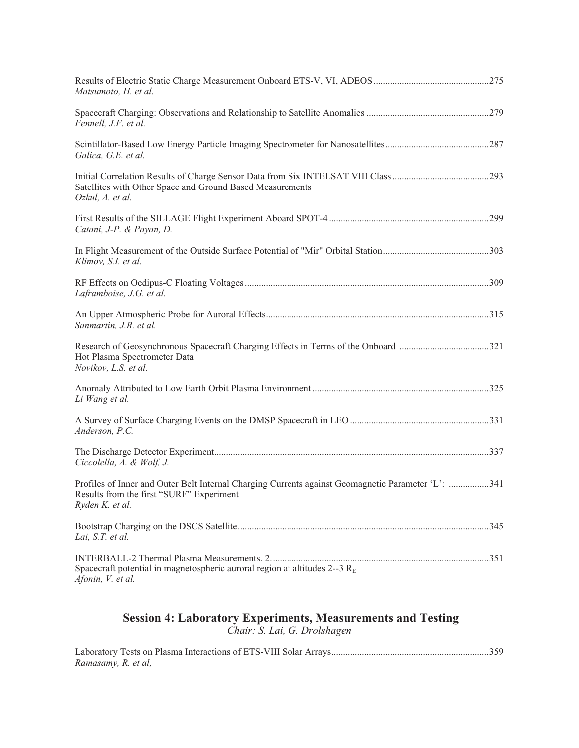| Matsumoto, H. et al.                                                                                                                                              |  |
|-------------------------------------------------------------------------------------------------------------------------------------------------------------------|--|
| Fennell, J.F. et al.                                                                                                                                              |  |
| Galica, G.E. et al.                                                                                                                                               |  |
| Satellites with Other Space and Ground Based Measurements<br>Ozkul, A. et al.                                                                                     |  |
| Catani, J-P. & Payan, D.                                                                                                                                          |  |
| Klimov, S.I. et al.                                                                                                                                               |  |
| Laframboise, J.G. et al.                                                                                                                                          |  |
| Sanmartin, J.R. et al.                                                                                                                                            |  |
| Hot Plasma Spectrometer Data<br>Novikov, L.S. et al.                                                                                                              |  |
| Li Wang et al.                                                                                                                                                    |  |
| Anderson, P.C.                                                                                                                                                    |  |
| Ciccolella, A. & Wolf, J.                                                                                                                                         |  |
| Profiles of Inner and Outer Belt Internal Charging Currents against Geomagnetic Parameter 'L': 341<br>Results from the first "SURF" Experiment<br>Ryden K. et al. |  |
| Lai, S.T. et al.                                                                                                                                                  |  |
| Spacecraft potential in magnetospheric auroral region at altitudes 2--3 $R_E$<br>Afonin, V. et al.                                                                |  |

#### **Session 4: Laboratory Experiments, Measurements and Testing** *Chair: S. Lai, G. Drolshagen*

| Ramasamy, R. et al, |  |
|---------------------|--|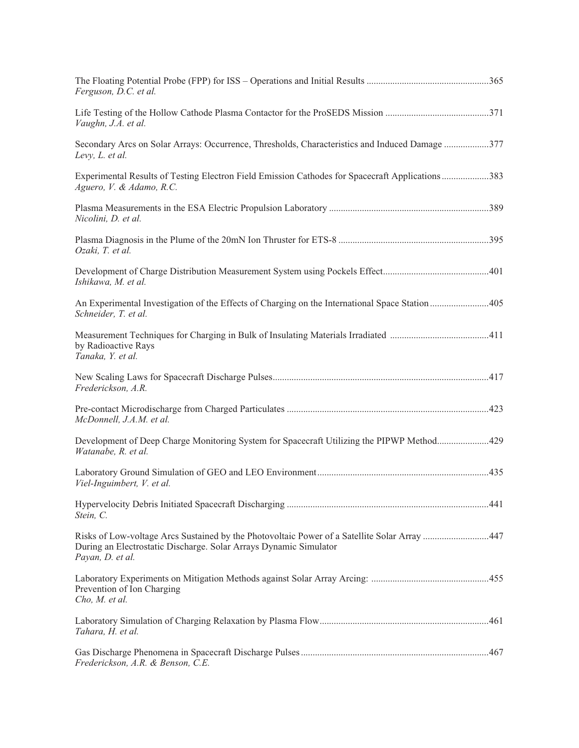| Ferguson, D.C. et al.                                                                                                                                                                 |  |
|---------------------------------------------------------------------------------------------------------------------------------------------------------------------------------------|--|
| Vaughn, J.A. et al.                                                                                                                                                                   |  |
| Secondary Arcs on Solar Arrays: Occurrence, Thresholds, Characteristics and Induced Damage 377<br>Levy, L. et al.                                                                     |  |
| Experimental Results of Testing Electron Field Emission Cathodes for Spacecraft Applications383<br>Aguero, V. & Adamo, R.C.                                                           |  |
| Nicolini, D. et al.                                                                                                                                                                   |  |
| Ozaki, T. et al.                                                                                                                                                                      |  |
| Ishikawa, M. et al.                                                                                                                                                                   |  |
| An Experimental Investigation of the Effects of Charging on the International Space Station 405<br>Schneider, T. et al.                                                               |  |
| by Radioactive Rays<br>Tanaka, Y. et al.                                                                                                                                              |  |
| Frederickson, A.R.                                                                                                                                                                    |  |
| McDonnell, J.A.M. et al.                                                                                                                                                              |  |
| Development of Deep Charge Monitoring System for Spacecraft Utilizing the PIPWP Method429<br>Watanabe, R. et al.                                                                      |  |
| Viel-Inguimbert, V. et al.                                                                                                                                                            |  |
| Stein, C.                                                                                                                                                                             |  |
| Risks of Low-voltage Arcs Sustained by the Photovoltaic Power of a Satellite Solar Array 447<br>During an Electrostatic Discharge. Solar Arrays Dynamic Simulator<br>Payan, D. et al. |  |
| Prevention of Ion Charging<br>Cho, M. et al.                                                                                                                                          |  |
| Tahara, H. et al.                                                                                                                                                                     |  |
| Frederickson, A.R. & Benson, C.E.                                                                                                                                                     |  |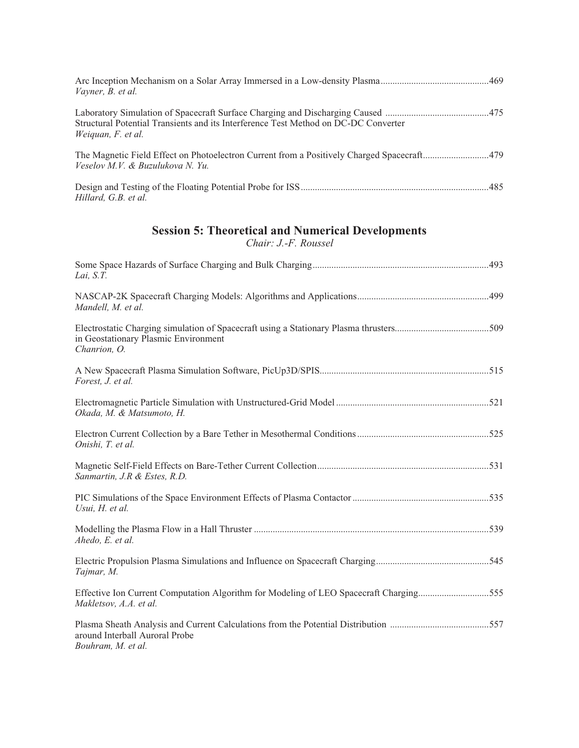| Vayner, B. et al.                                                                                         |  |
|-----------------------------------------------------------------------------------------------------------|--|
| Structural Potential Transients and its Interference Test Method on DC-DC Converter<br>Weiquan, F. et al. |  |
| Veselov M.V. & Buzulukova N.Yu.                                                                           |  |
| Hillard, G.B. et al.                                                                                      |  |

## **Session 5: Theoretical and Numerical Developments**

*Chair: J.-F. Roussel*

| Lai, S.T.                                                                                                        |
|------------------------------------------------------------------------------------------------------------------|
| Mandell, M. et al.                                                                                               |
| in Geostationary Plasmic Environment<br>Chanrion, O.                                                             |
| Forest, J. et al.                                                                                                |
| Okada, M. & Matsumoto, H.                                                                                        |
| Onishi, T. et al.                                                                                                |
| Sanmartin, J.R & Estes, R.D.                                                                                     |
| Usui, H. et al.                                                                                                  |
| Ahedo, E. et al.                                                                                                 |
| Tajmar, M.                                                                                                       |
| Effective Ion Current Computation Algorithm for Modeling of LEO Spacecraft Charging555<br>Makletsov, A.A. et al. |
| around Interball Auroral Probe<br>Bouhram, M. et al.                                                             |